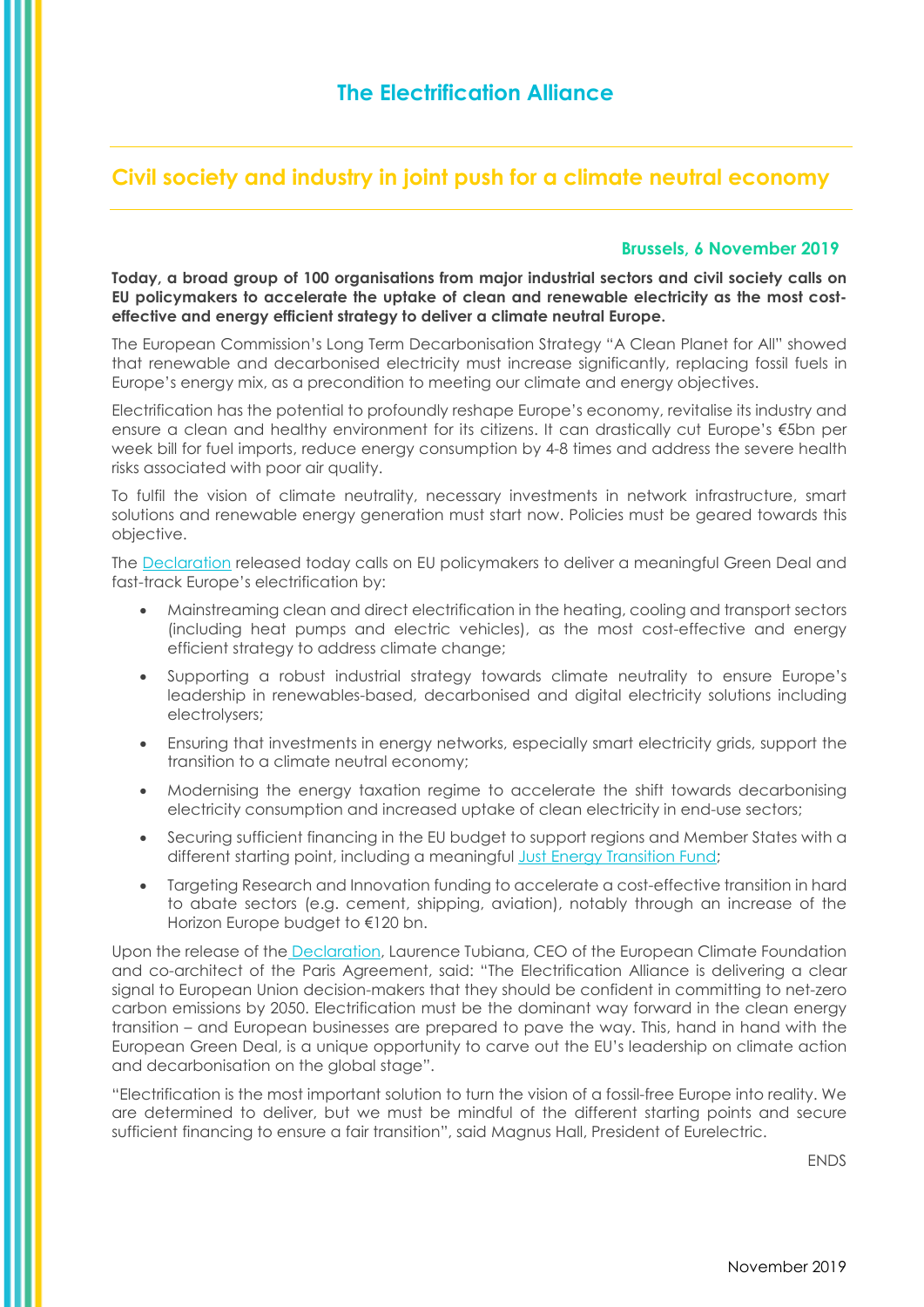## **Civil society and industry in joint push for a climate neutral economy**

## **Brussels, 6 November 2019**

**Today, a broad group of 100 organisations from major industrial sectors and civil society calls on EU policymakers to accelerate the uptake of clean and renewable electricity as the most costeffective and energy efficient strategy to deliver a climate neutral Europe.**

The European Commission's Long Term Decarbonisation Strategy "A Clean Planet for All" showed that renewable and decarbonised electricity must increase significantly, replacing fossil fuels in Europe's energy mix, as a precondition to meeting our climate and energy objectives.

Electrification has the potential to profoundly reshape Europe's economy, revitalise its industry and ensure a clean and healthy environment for its citizens. It can drastically cut Europe's €5bn per week bill for fuel imports, reduce energy consumption by 4-8 times and address the severe health risks associated with poor air quality.

To fulfil the vision of climate neutrality, necessary investments in network infrastructure, smart solutions and renewable energy generation must start now. Policies must be geared towards this objective.

The [Declaration](https://www.eurelectric.org/media/4053/electrification-alliance-final.pdf) released today calls on EU policymakers to deliver a meaningful Green Deal and fast-track Europe's electrification by:

- Mainstreaming clean and direct electrification in the heating, cooling and transport sectors (including heat pumps and electric vehicles), as the most cost-effective and energy efficient strategy to address climate change;
- Supporting a robust industrial strategy towards climate neutrality to ensure Europe's leadership in renewables-based, decarbonised and digital electricity solutions including electrolysers;
- Ensuring that investments in energy networks, especially smart electricity grids, support the transition to a climate neutral economy;
- Modernising the energy taxation regime to accelerate the shift towards decarbonising electricity consumption and increased uptake of clean electricity in end-use sectors;
- Securing sufficient financing in the EU budget to support regions and Member States with a different starting point, including a meaningful [Just Energy Transition Fund;](https://ec.europa.eu/commission/sites/beta-political/files/political-guidelines-next-commission_en.pdf)
- Targeting Research and Innovation funding to accelerate a cost-effective transition in hard to abate sectors (e.g. cement, shipping, aviation), notably through an increase of the Horizon Europe budget to €120 bn.

Upon the release of the [Declaration,](https://www.eurelectric.org/media/4053/electrification-alliance-final.pdf) Laurence Tubiana, CEO of the European Climate Foundation and co-architect of the Paris Agreement, said: "The Electrification Alliance is delivering a clear signal to European Union decision-makers that they should be confident in committing to net-zero carbon emissions by 2050. Electrification must be the dominant way forward in the clean energy transition – and European businesses are prepared to pave the way. This, hand in hand with the European Green Deal, is a unique opportunity to carve out the EU's leadership on climate action and decarbonisation on the global stage".

"Electrification is the most important solution to turn the vision of a fossil-free Europe into reality. We are determined to deliver, but we must be mindful of the different starting points and secure sufficient financing to ensure a fair transition", said Magnus Hall, President of Eurelectric.

ENDS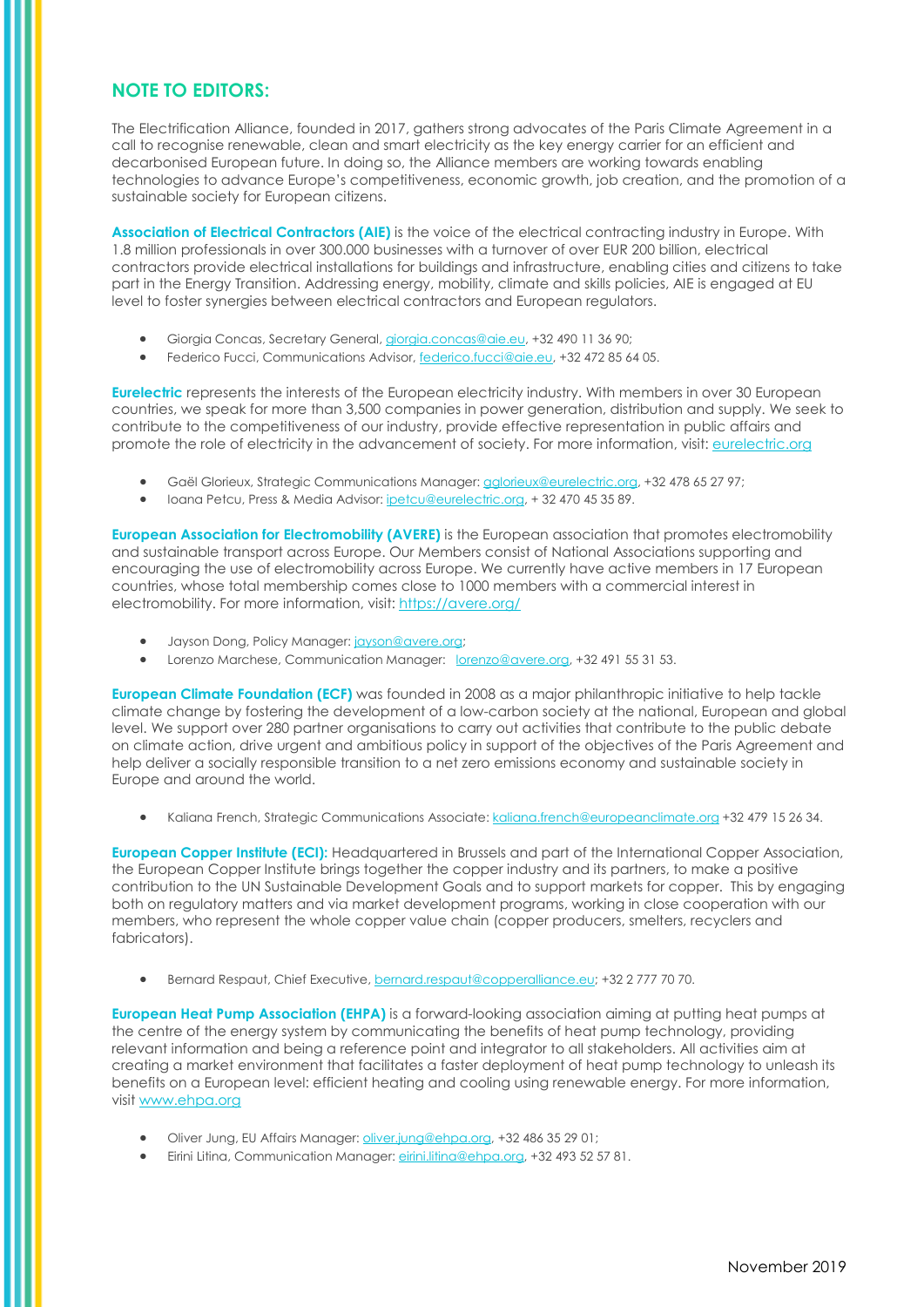## **NOTE TO EDITORS:**

The Electrification Alliance, founded in 2017, gathers strong advocates of the Paris Climate Agreement in a call to recognise renewable, clean and smart electricity as the key energy carrier for an efficient and decarbonised European future. In doing so, the Alliance members are working towards enabling technologies to advance Europe's competitiveness, economic growth, job creation, and the promotion of a sustainable society for European citizens.

**Association of Electrical Contractors (AIE)** is the voice of the electrical contracting industry in Europe. With 1.8 million professionals in over 300.000 businesses with a turnover of over EUR 200 billion, electrical contractors provide electrical installations for buildings and infrastructure, enabling cities and citizens to take part in the Energy Transition. Addressing energy, mobility, climate and skills policies, AIE is engaged at EU level to foster synergies between electrical contractors and European regulators.

- Giorgia Concas, Secretary General[, giorgia.concas@aie.eu,](mailto:giorgia.concas@aie.eu) +32 490 11 36 90;
- Federico Fucci, Communications Advisor[, federico.fucci@aie.eu,](mailto:federico.fucci@aie.eu) +32 472 85 64 05.

**Eurelectric** represents the interests of the European electricity industry. With members in over 30 European countries, we speak for more than 3,500 companies in power generation, distribution and supply. We seek to contribute to the competitiveness of our industry, provide effective representation in public affairs and promote the role of electricity in the advancement of society. For more information, visit: [eurelectric.org](http://www.eurelectric.org/)

- Gaël Glorieux, Strategic Communications Manager: [gglorieux@eurelectric.org,](https://www.eurelectric.org/about-us/our-team/) +32 478 65 27 97;
- Ioana Petcu, Press & Media Advisor: *ipetcu@eurelectric.org*, + 32 470 45 35 89.

**European Association for Electromobility (AVERE)** is the European association that promotes electromobility and sustainable transport across Europe. Our Members consist of National Associations supporting and encouraging the use of electromobility across Europe. We currently have active members in 17 European countries, whose total membership comes close to 1000 members with a commercial interest in electromobility. For more information, visit:<https://avere.org/>

- Jayson Dong, Policy Manager[: jayson@avere.org;](mailto:jayson@avere.org)
- Lorenzo Marchese, Communication Manager: [lorenzo@avere.org,](mailto:lorenzo@avere.org) +32 491 55 31 53.

**European Climate Foundation (ECF)** was founded in 2008 as a major philanthropic initiative to help tackle climate change by fostering the development of a low-carbon society at the national, European and global level. We support over 280 partner organisations to carry out activities that contribute to the public debate on climate action, drive urgent and ambitious policy in support of the objectives of the Paris Agreement and help deliver a socially responsible transition to a net zero emissions economy and sustainable society in Europe and around the world.

• Kaliana French, Strategic Communications Associate: [kaliana.french@europeanclimate.org](mailto:kaliana.french@europeanclimate.org) +32 479 15 26 34.

**European Copper Institute (ECI):** Headquartered in Brussels and part of the International Copper Association, the European Copper Institute brings together the copper industry and its partners, to make a positive contribution to the UN Sustainable Development Goals and to support markets for copper. This by engaging both on regulatory matters and via market development programs, working in close cooperation with our members, who represent the whole copper value chain (copper producers, smelters, recyclers and fabricators).

• Bernard Respaut, Chief Executive[, bernard.respaut@copperalliance.eu;](mailto:bernard.respaut@copperalliance.eu) +32 2 777 70 70.

**European Heat Pump Association (EHPA)** is a forward-looking association aiming at putting heat pumps at the centre of the energy system by communicating the benefits of heat pump technology, providing relevant information and being a reference point and integrator to all stakeholders. All activities aim at creating a market environment that facilitates a faster deployment of heat pump technology to unleash its benefits on a European level: efficient heating and cooling using renewable energy. For more information, visit [www.ehpa.org](http://www.ehpa.org/)

- Oliver Jung, EU Affairs Manager: [oliver.jung@ehpa.org,](mailto:oliver.jung@ehpa.org) +32 486 35 29 01;
- Eirini Litina, Communication Manager: [eirini.litina@ehpa.org,](mailto:eirini.litina@ehpa.org) +32 493 52 57 81.